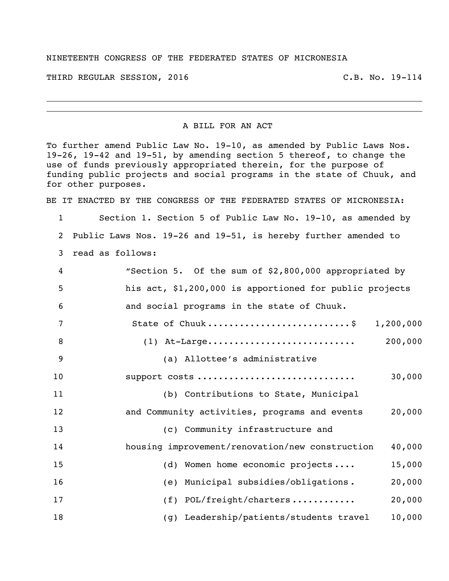## NINETEENTH CONGRESS OF THE FEDERATED STATES OF MICRONESIA

THIRD REGULAR SESSION, 2016 C.B. No. 19-114

## A BILL FOR AN ACT

To further amend Public Law No. 19-10, as amended by Public Laws Nos. 19-26, 19-42 and 19-51, by amending section 5 thereof, to change the use of funds previously appropriated therein, for the purpose of funding public projects and social programs in the state of Chuuk, and for other purposes.

BE IT ENACTED BY THE CONGRESS OF THE FEDERATED STATES OF MICRONESIA:

 Section 1. Section 5 of Public Law No. 19-10, as amended by Public Laws Nos. 19-26 and 19-51, is hereby further amended to read as follows:

| 4  | "Section 5. Of the sum of \$2,800,000 appropriated by     |
|----|-----------------------------------------------------------|
| 5  | his act, \$1,200,000 is apportioned for public projects   |
| 6  | and social programs in the state of Chuuk.                |
| 7  | State of Chuuk\$ 1,200,000                                |
| 8  | 200,000<br>$(1)$ At-Large                                 |
| 9  | (a) Allottee's administrative                             |
| 10 | support costs<br>30,000                                   |
| 11 | (b) Contributions to State, Municipal                     |
| 12 | 20,000<br>and Community activities, programs and events   |
| 13 | (c) Community infrastructure and                          |
| 14 | housing improvement/renovation/new construction<br>40,000 |
| 15 | (d) Women home economic projects<br>15,000                |
| 16 | (e) Municipal subsidies/obligations.<br>20,000            |
| 17 | $(f)$ POL/freight/charters<br>20,000                      |
| 18 | (g) Leadership/patients/students travel<br>10,000         |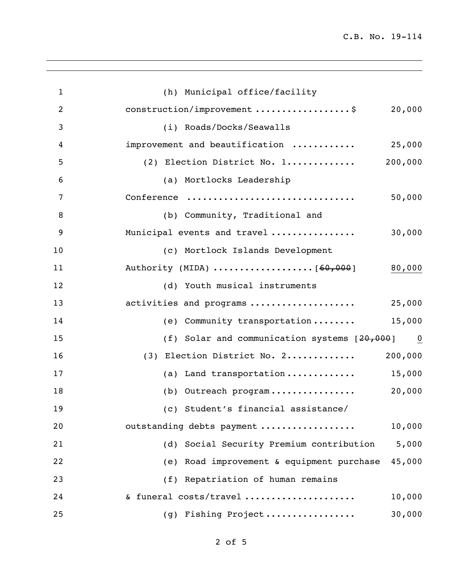| $\mathbf{1}$   | (h) Municipal office/facility                                            |
|----------------|--------------------------------------------------------------------------|
| $\overline{2}$ | construction/improvement \$<br>20,000                                    |
| 3              | (i) Roads/Docks/Seawalls                                                 |
| 4              | improvement and beautification<br>25,000                                 |
| 5              | 200,000<br>(2) Election District No. 1                                   |
| 6              | (a) Mortlocks Leadership                                                 |
| 7              | 50,000<br>Conference                                                     |
| 8              | (b) Community, Traditional and                                           |
| 9              | 30,000<br>Municipal events and travel                                    |
| 10             | (c) Mortlock Islands Development                                         |
| 11             | 80,000                                                                   |
| 12             | (d) Youth musical instruments                                            |
| 13             | 25,000<br>activities and programs                                        |
| 14             | 15,000<br>(e) Community transportation                                   |
| 15             | (f) Solar and communication systems [20,000]<br>$\overline{\phantom{0}}$ |
| 16             | (3) Election District No. 2<br>200,000                                   |
| 17             | 15,000<br>(a) Land transportation                                        |
| 18             | 20,000<br>(b) Outreach program                                           |
| 19             | (c) Student's financial assistance/                                      |
| 20             | outstanding debts payment<br>10,000                                      |
| 21             | (d) Social Security Premium contribution<br>5,000                        |
| 22             | 45,000<br>(e) Road improvement & equipment purchase                      |
| 23             | (f) Repatriation of human remains                                        |
| 24             | & funeral costs/travel<br>10,000                                         |
| 25             | 30,000<br>(g) Fishing Project                                            |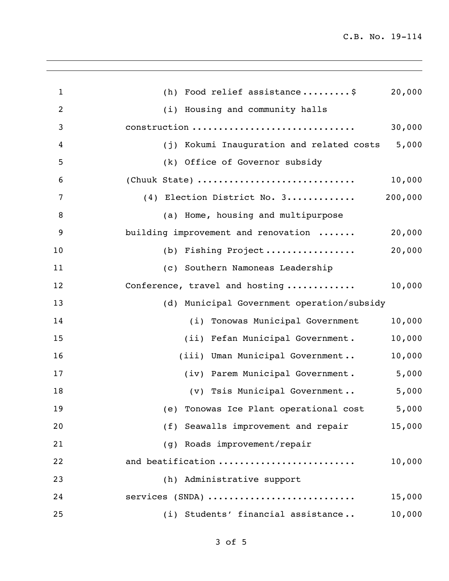C.B. No. 19-114

| $\mathbf{1}$   | (h) Food relief assistance\$<br>20,000          |
|----------------|-------------------------------------------------|
| $\overline{2}$ | (i) Housing and community halls                 |
| 3              | 30,000<br>construction                          |
| 4              | (j) Kokumi Inauguration and related costs 5,000 |
| 5              | (k) Office of Governor subsidy                  |
| 6              | (Chuuk State)<br>10,000                         |
| 7              | (4) Election District No. 3<br>200,000          |
| 8              | (a) Home, housing and multipurpose              |
| 9              | building improvement and renovation<br>20,000   |
| 10             | 20,000<br>(b) Fishing Project                   |
| 11             | (c) Southern Namoneas Leadership                |
| 12             | 10,000<br>Conference, travel and hosting        |
| 13             | (d) Municipal Government operation/subsidy      |
| 14             | (i) Tonowas Municipal Government<br>10,000      |
| 15             | 10,000<br>(ii) Fefan Municipal Government.      |
| 16             | 10,000<br>(iii) Uman Municipal Government       |
| 17             | (iv) Parem Municipal Government. 5,000          |
| 18             | 5,000<br>(v) Tsis Municipal Government          |
| 19             | (e) Tonowas Ice Plant operational cost 5,000    |
| 20             | (f) Seawalls improvement and repair<br>15,000   |
| 21             | (q) Roads improvement/repair                    |
| 22             | and beatification<br>10,000                     |
| 23             | (h) Administrative support                      |
| 24             | services (SNDA)<br>15,000                       |
| 25             | (i) Students' financial assistance<br>10,000    |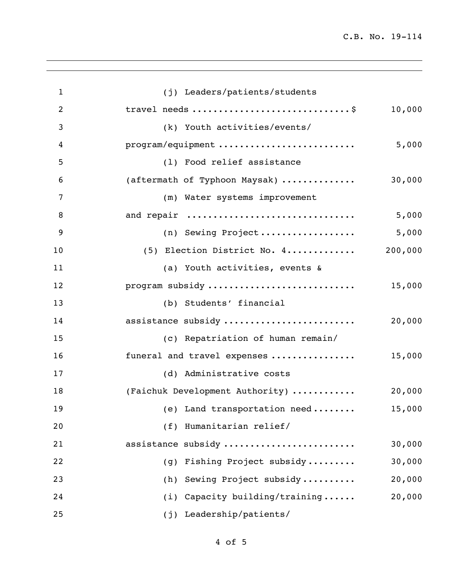| $\mathbf{1}$   | (j) Leaders/patients/students     |         |
|----------------|-----------------------------------|---------|
| $\overline{2}$ | travel needs \$                   | 10,000  |
| 3              | (k) Youth activities/events/      |         |
| 4              | program/equipment                 | 5,000   |
| 5              | (1) Food relief assistance        |         |
| 6              | (aftermath of Typhoon Maysak)     | 30,000  |
| 7              | (m) Water systems improvement     |         |
| 8              | and repair                        | 5,000   |
| 9              | (n) Sewing Project                | 5,000   |
| 10             | (5) Election District No. 4       | 200,000 |
| 11             | (a) Youth activities, events &    |         |
| 12             | program subsidy                   | 15,000  |
| 13             | (b) Students' financial           |         |
| 14             | assistance subsidy                | 20,000  |
| 15             | (c) Repatriation of human remain/ |         |
| 16             | funeral and travel expenses       | 15,000  |
| 17             | (d) Administrative costs          |         |
| 18             | (Faichuk Development Authority)   | 20,000  |
| 19             | (e) Land transportation need      | 15,000  |
| 20             | (f) Humanitarian relief/          |         |
| 21             | assistance subsidy                | 30,000  |
| 22             | Fishing Project subsidy<br>(q)    | 30,000  |
| 23             | Sewing Project subsidy<br>(h)     | 20,000  |
| 24             | Capacity building/training<br>(i) | 20,000  |
| 25             | Leadership/patients/<br>(j)       |         |